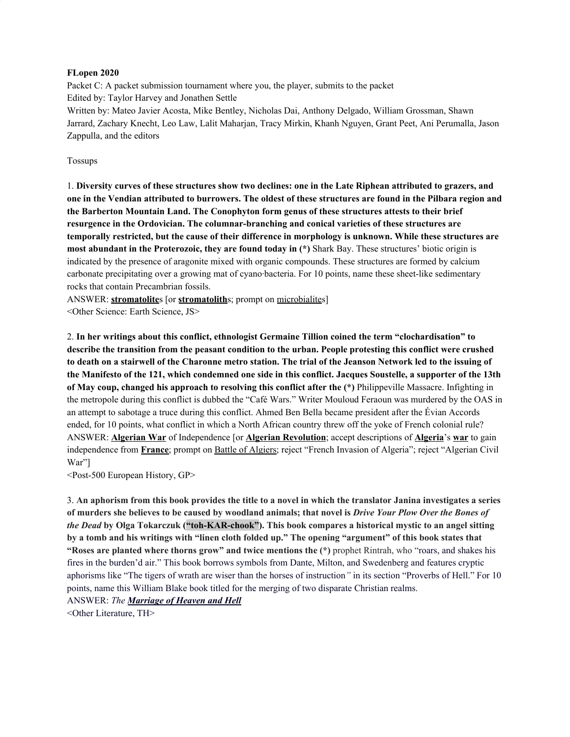#### **FLopen 2020**

Packet C: A packet submission tournament where you, the player, submits to the packet Edited by: Taylor Harvey and Jonathen Settle Written by: Mateo Javier Acosta, Mike Bentley, Nicholas Dai, Anthony Delgado, William Grossman, Shawn Jarrard, Zachary Knecht, Leo Law, Lalit Maharjan, Tracy Mirkin, Khanh Nguyen, Grant Peet, Ani Perumalla, Jason Zappulla, and the editors

#### Tossups

1. Diversity curves of these structures show two declines: one in the Late Riphean attributed to grazers, and one in the Vendian attributed to burrowers. The oldest of these structures are found in the Pilbara region and **the Barberton Mountain Land. The Conophyton form genus of these structures attests to their brief resurgence in the Ordovician. The columnar-branching and conical varieties of these structures are temporally restricted, but the cause of their difference in morphology is unknown. While these structures are most abundant in the Proterozoic, they are found today in (\*)** Shark Bay. These structures' biotic origin is indicated by the presence of aragonite mixed with organic compounds. These structures are formed by calcium carbonate precipitating over a growing mat of cyano·bacteria. For 10 points, name these sheet-like sedimentary rocks that contain Precambrian fossils.

ANSWER: **stromatolite**s [or **stromatolith**s; prompt on microbialites] <Other Science: Earth Science, JS>

2. **In her writings about this conflict, ethnologist Germaine Tillion coined the term "clochardisation" to describe the transition from the peasant condition to the urban. People protesting this conflict were crushed** to death on a stairwell of the Charonne metro station. The trial of the Jeanson Network led to the issuing of the Manifesto of the 121, which condemned one side in this conflict. Jacques Soustelle, a supporter of the 13th **of May coup, changed his approach to resolving this conflict after the (\*)** Philippeville Massacre. Infighting in the metropole during this conflict is dubbed the "Café Wars." Writer Mouloud Feraoun was murdered by the OAS in an attempt to sabotage a truce during this conflict. Ahmed Ben Bella became president after the Évian Accords ended, for 10 points, what conflict in which a North African country threw off the yoke of French colonial rule? ANSWER: **Algerian War** of Independence [or **Algerian Revolution**; accept descriptions of **Algeria**'s **war** to gain independence from **France**; prompt on Battle of Algiers; reject "French Invasion of Algeria"; reject "Algerian Civil War"]

<Post-500 European History, GP>

3. An aphorism from this book provides the title to a novel in which the translator Janina investigates a series of murders she believes to be caused by woodland animals; that novel is Drive Your Plow Over the Bones of *the Dead* **by Olga Tokarczuk ("toh-KAR-chook"). This book compares a historical mystic to an angel sitting** by a tomb and his writings with "linen cloth folded up." The opening "argument" of this book states that **"Roses are planted where thorns grow" and twice mentions the (\*)** prophet Rintrah, who "roars, and shakes his fires in the burden'd air." This book borrows symbols from Dante, Milton, and Swedenberg and features cryptic aphorisms like "The tigers of wrath are wiser than the horses of instruction*"* in its section "Proverbs of Hell." For 10 points, name this William Blake book titled for the merging of two disparate Christian realms. ANSWER: *The Marriage of Heaven and Hell*

<Other Literature, TH>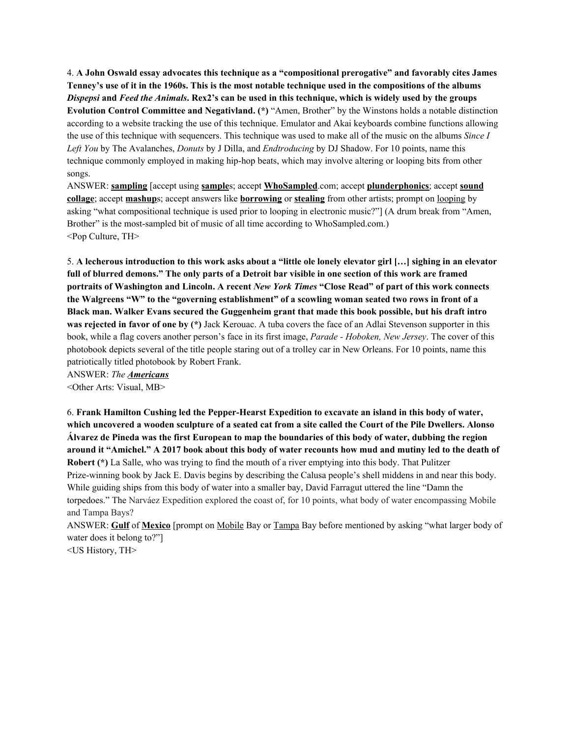4. **A John Oswald essay advocates this technique as a "compositional prerogative" and favorably cites James** Tenney's use of it in the 1960s. This is the most notable technique used in the compositions of the albums Dispepsi and Feed the Animals. Rex2's can be used in this technique, which is widely used by the groups **Evolution Control Committee and Negativland. (\*)** "Amen, Brother" by the Winstons holds a notable distinction according to a website tracking the use of this technique. Emulator and Akai keyboards combine functions allowing the use of this technique with sequencers. This technique was used to make all of the music on the albums *Since I Left You* by The Avalanches, *Donuts* by J Dilla, and *Endtroducing* by DJ Shadow. For 10 points, name this technique commonly employed in making hip-hop beats, which may involve altering or looping bits from other songs.

ANSWER: **sampling** [accept using **sample**s; accept **WhoSampled**.com; accept **plunderphonics**; accept **sound collage**; accept **mashup**s; accept answers like **borrowing** or **stealing** from other artists; prompt on looping by asking "what compositional technique is used prior to looping in electronic music?"] (A drum break from "Amen, Brother" is the most-sampled bit of music of all time according to WhoSampled.com.) <Pop Culture, TH>

5. A lecherous introduction to this work asks about a "little ole lonely elevator girl [...] sighing in an elevator full of blurred demons." The only parts of a Detroit bar visible in one section of this work are framed portraits of Washington and Lincoln. A recent New York Times "Close Read" of part of this work connects the Walgreens "W" to the "governing establishment" of a scowling woman seated two rows in front of a **Black man. Walker Evans secured the Guggenheim grant that made this book possible, but his draft intro was rejected in favor of one by (\*)** Jack Kerouac. A tuba covers the face of an Adlai Stevenson supporter in this book, while a flag covers another person's face in its first image, *Parade - Hoboken, New Jersey*. The cover of this photobook depicts several of the title people staring out of a trolley car in New Orleans. For 10 points, name this patriotically titled photobook by Robert Frank.

ANSWER: *The Americans* <Other Arts: Visual, MB>

6. **Frank Hamilton Cushing led the Pepper-Hearst Expedition to excavate an island in this body of water,** which uncovered a wooden sculpture of a seated cat from a site called the Court of the Pile Dwellers. Alonso Álvarez de Pineda was the first European to map the boundaries of this body of water, dubbing the region around it "Amichel." A 2017 book about this body of water recounts how mud and mutiny led to the death of **Robert (\*)** La Salle, who was trying to find the mouth of a river emptying into this body. That Pulitzer Prize-winning book by Jack E. Davis begins by describing the Calusa people's shell middens in and near this body. While guiding ships from this body of water into a smaller bay, David Farragut uttered the line "Damn the torpedoes." The Narváez Expedition explored the coast of, for 10 points, what body of water encompassing Mobile and Tampa Bays?

ANSWER: **Gulf** of **Mexico** [prompt on Mobile Bay or Tampa Bay before mentioned by asking "what larger body of water does it belong to?"]

<US History, TH>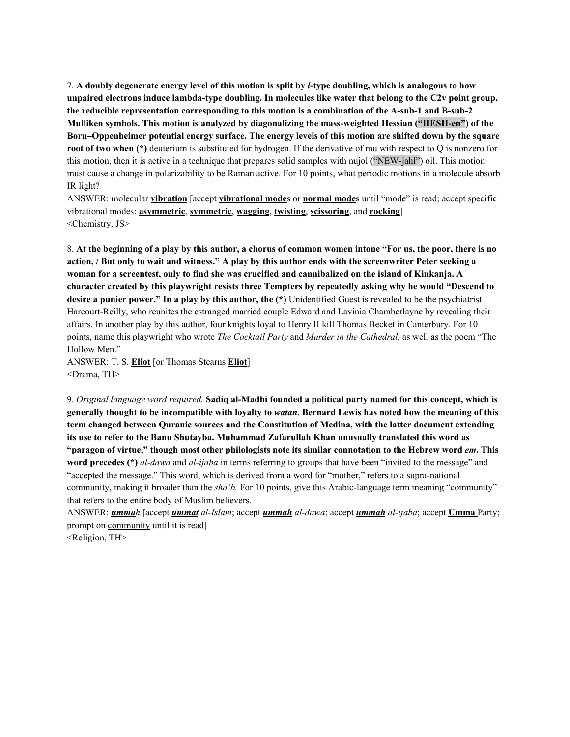7. A doubly degenerate energy level of this motion is split by *l*-type doubling, which is analogous to how **unpaired electrons induce lambda-type doubling. In molecules like water that belong to the C2v point group, the reducible representation corresponding to this motion is a combination of the A-sub-1 and B-sub-2 Mulliken symbols. This motion is analyzed by diagonalizing the mass-weighted Hessian ("HESH-en") of the Born–Oppenheimer potential energy surface. The energy levels of this motion are shifted down by the square root** of **two** when (\*) deuterium is substituted for hydrogen. If the derivative of mu with respect to Q is nonzero for this motion, then it is active in a technique that prepares solid samples with nujol ("NEW-jahl") oil. This motion must cause a change in polarizability to be Raman active. For 10 points, what periodic motions in a molecule absorb IR light?

ANSWER: molecular **vibration** [accept **vibrational mode**s or **normal mode**s until "mode" is read; accept specific vibrational modes: **asymmetric**, **symmetric**, **wagging**, **twisting**, **scissoring**, and **rocking**] <Chemistry, JS>

8. At the beginning of a play by this author, a chorus of common women intone "For us, the poor, there is no action, / But only to wait and witness." A play by this author ends with the screenwriter Peter seeking a woman for a screentest, only to find she was crucified and cannibalized on the island of Kinkanja. A **character created by this playwright resists three Tempters by repeatedly asking why he would "Descend to desire a punier power." In a play by this author, the (\*)** Unidentified Guest is revealed to be the psychiatrist Harcourt-Reilly, who reunites the estranged married couple Edward and Lavinia Chamberlayne by revealing their affairs. In another play by this author, four knights loyal to Henry II kill Thomas Becket in Canterbury. For 10 points, name this playwright who wrote *The Cocktail Party* and *Murder in the Cathedral*, as well as the poem "The Hollow Men."

ANSWER: T. S. **Eliot** [or Thomas Stearns **Eliot**] <Drama, TH>

9. *Original language word required.* **Sadiq al-Madhi founded a political party named for this concept, which is** generally thought to be incompatible with lovalty to *watan*. Bernard Lewis has noted how the meaning of this **term changed between Quranic sources and the Constitution of Medina, with the latter document extending its use to refer to the Banu Shutayba. Muhammad Zafarullah Khan unusually translated this word as** "paragon of virtue," though most other philologists note its similar connotation to the Hebrew word em. This **word precedes (\*)** *al-dawa* and *al-ijaba* in terms referring to groups that have been "invited to the message" and "accepted the message." This word, which is derived from a word for "mother," refers to a supra-national community, making it broader than the *sha'b.* For 10 points, give this Arabic-language term meaning "community" that refers to the entire body of Muslim believers.

ANSWER: *ummah* [accept *ummat al-Islam*; accept *ummah al-dawa*; accept *ummah al-ijaba*; accept **Umma** Party; prompt on community until it is read]

<Religion, TH>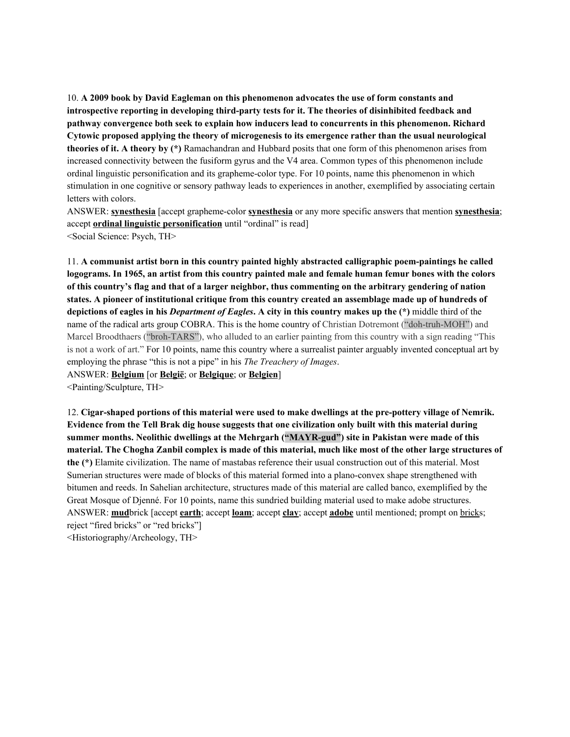10. **A 2009 book by David Eagleman on this phenomenon advocates the use of form constants and introspective reporting in developing third-party tests for it. The theories of disinhibited feedback and pathway convergence both seek to explain how inducers lead to concurrents in this phenomenon. Richard Cytowic proposed applying the theory of microgenesis to its emergence rather than the usual neurological theories of it. A theory by (\*)** Ramachandran and Hubbard posits that one form of this phenomenon arises from increased connectivity between the fusiform gyrus and the V4 area. Common types of this phenomenon include ordinal linguistic personification and its grapheme-color type. For 10 points, name this phenomenon in which stimulation in one cognitive or sensory pathway leads to experiences in another, exemplified by associating certain letters with colors.

ANSWER: **synesthesia** [accept grapheme-color **synesthesia** or any more specific answers that mention **synesthesia**; accept **ordinal linguistic personification** until "ordinal" is read] <Social Science: Psych, TH>

11. **A communist artist born in this country painted highly abstracted calligraphic poem-paintings he called** logograms. In 1965, an artist from this country painted male and female human femur bones with the colors of this country's flag and that of a larger neighbor, thus commenting on the arbitrary gendering of nation states. A pioneer of institutional critique from this country created an assemblage made up of hundreds of depictions of eagles in his *Department of Eagles*. A city in this country makes up the  $(*)$  middle third of the name of the radical arts group COBRA. This is the home country of Christian Dotremont ("doh-truh-MOH") and Marcel Broodthaers ("broh-TARS"), who alluded to an earlier painting from this country with a sign reading "This is not a work of art." For 10 points, name this country where a surrealist painter arguably invented conceptual art by employing the phrase "this is not a pipe" in his *The Treachery of Images*. ANSWER: **Belgium** [or **België**; or **Belgique**; or **Belgien**]

<Painting/Sculpture, TH>

12. **Cigar-shaped portions of this material were used to make dwellings at the pre-pottery village of Nemrik. Evidence from the Tell Brak dig house suggests that one civilization only built with this material during summer months. Neolithic dwellings at the Mehrgarh ("MAYR-gud") site in Pakistan were made of this** material. The Chogha Zanbil complex is made of this material, much like most of the other large structures of **the (\*)** Elamite civilization. The name of mastabas reference their usual construction out of this material. Most Sumerian structures were made of blocks of this material formed into a plano-convex shape strengthened with bitumen and reeds. In Sahelian architecture, structures made of this material are called banco, exemplified by the Great Mosque of Djenné. For 10 points, name this sundried building material used to make adobe structures. ANSWER: **mud**brick [accept **earth**; accept **loam**; accept **clay**; accept **adobe** until mentioned; prompt on bricks; reject "fired bricks" or "red bricks"]

<Historiography/Archeology, TH>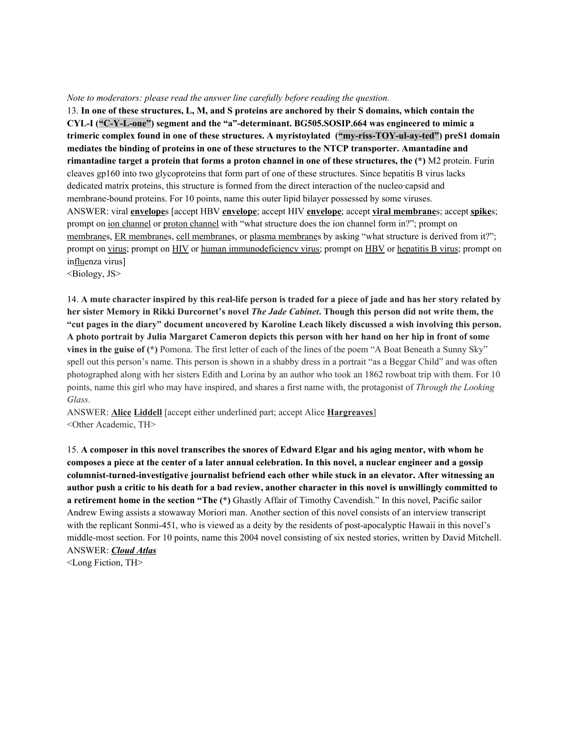#### *Note to moderators: please read the answer line carefully before reading the question.*

13. In one of these structures, L, M, and S proteins are anchored by their S domains, which contain the **CYL-I ("C-Y-L-one") segment and the "a"-determinant. BG505.SOSIP.664 was engineered to mimic a trimeric complex found in one of these structures. A myristoylated ("my-riss-TOY-ul-ay-ted") preS1 domain mediates the binding of proteins in one of these structures to the NTCP transporter. Amantadine and rimantadine target a protein that forms a proton channel in one of these structures, the (\*)** M2 protein. Furin cleaves gp160 into two glycoproteins that form part of one of these structures. Since hepatitis B virus lacks dedicated matrix proteins, this structure is formed from the direct interaction of the nucleo·capsid and membrane-bound proteins. For 10 points, name this outer lipid bilayer possessed by some viruses. ANSWER: viral **envelope**s [accept HBV **envelope**; accept HIV **envelope**; accept **viral membrane**s; accept **spike**s; prompt on ion channel or proton channel with "what structure does the ion channel form in?"; prompt on membranes, ER membranes, cell membranes, or plasma membranes by asking "what structure is derived from it?"; prompt on virus; prompt on HIV or human immunodeficiency virus; prompt on HBV or hepatitis B virus; prompt on influenza virus]

<Biology, JS>

14. A mute character inspired by this real-life person is traded for a piece of jade and has her story related by her sister Memory in Rikki Durcornet's novel The Jade Cabinet. Though this person did not write them, the "cut pages in the diary" document uncovered by Karoline Leach likely discussed a wish involving this person. A photo portrait by Julia Margaret Cameron depicts this person with her hand on her hip in front of some **vines in the guise of (\*)** Pomona. The first letter of each of the lines of the poem "A Boat Beneath a Sunny Sky" spell out this person's name. This person is shown in a shabby dress in a portrait "as a Beggar Child" and was often photographed along with her sisters Edith and Lorina by an author who took an 1862 rowboat trip with them. For 10 points, name this girl who may have inspired, and shares a first name with, the protagonist of *Through the Looking Glass*.

ANSWER: **Alice Liddell** [accept either underlined part; accept Alice **Hargreaves**] <Other Academic, TH>

15. A composer in this novel transcribes the snores of Edward Elgar and his aging mentor, with whom he composes a piece at the center of a later annual celebration. In this novel, a nuclear engineer and a gossip **columnist-turned-investigative journalist befriend each other while stuck in an elevator. After witnessing an** author push a critic to his death for a bad review, another character in this novel is unwillingly committed to **a retirement home in the section "The (\*)** Ghastly Affair of Timothy Cavendish." In this novel, Pacific sailor Andrew Ewing assists a stowaway Moriori man. Another section of this novel consists of an interview transcript with the replicant Sonmi-451, who is viewed as a deity by the residents of post-apocalyptic Hawaii in this novel's middle-most section. For 10 points, name this 2004 novel consisting of six nested stories, written by David Mitchell. ANSWER: *Cloud Atlas*

<Long Fiction, TH>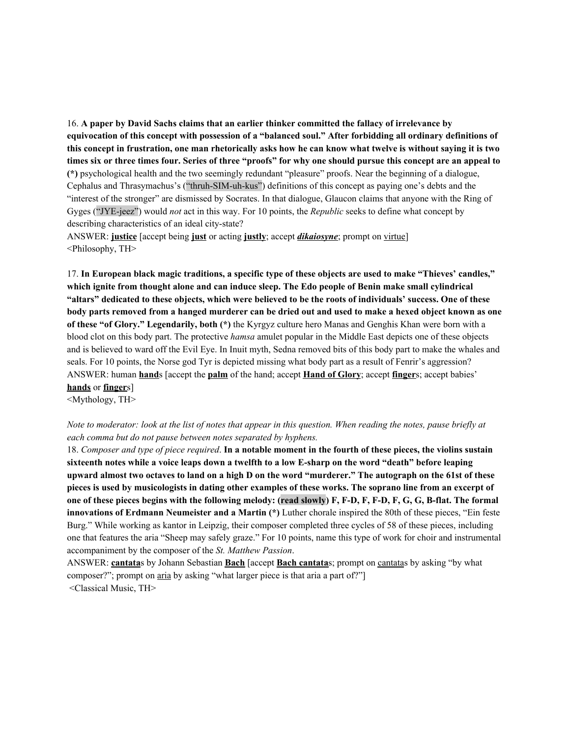16. **A paper by David Sachs claims that an earlier thinker committed the fallacy of irrelevance by equivocation of this concept with possession of a "balanced soul." After forbidding all ordinary definitions of** this concept in frustration, one man rhetorically asks how he can know what twelve is without saying it is two times six or three times four. Series of three "proofs" for why one should pursue this concept are an appeal to **(\*)** psychological health and the two seemingly redundant "pleasure" proofs. Near the beginning of a dialogue, Cephalus and Thrasymachus's ("thruh-SIM-uh-kus") definitions of this concept as paying one's debts and the "interest of the stronger" are dismissed by Socrates. In that dialogue, Glaucon claims that anyone with the Ring of Gyges ("JYE-jeez") would *not* act in this way. For 10 points, the *Republic* seeks to define what concept by describing characteristics of an ideal city-state?

ANSWER: **justice** [accept being **just** or acting **justly**; accept *dikaiosyne*; prompt on virtue] <Philosophy, TH>

17. In European black magic traditions, a specific type of these objects are used to make "Thieves' candles," **which ignite from thought alone and can induce sleep. The Edo people of Benin make small cylindrical** "altars" dedicated to these objects, which were believed to be the roots of individuals' success. One of these body parts removed from a hanged murderer can be dried out and used to make a hexed object known as one **of these "of Glory." Legendarily, both (\*)** the Kyrgyz culture hero Manas and Genghis Khan were born with a blood clot on this body part. The protective *hamsa* amulet popular in the Middle East depicts one of these objects and is believed to ward off the Evil Eye. In Inuit myth, Sedna removed bits of this body part to make the whales and seals. For 10 points, the Norse god Tyr is depicted missing what body part as a result of Fenrir's aggression? ANSWER: human **hand**s [accept the **palm** of the hand; accept **Hand of Glory**; accept **finger**s; accept babies' **hands** or **finger**s]

<Mythology, TH>

#### Note to moderator: look at the list of notes that appear in this question. When reading the notes, pause briefly at *each comma but do not pause between notes separated by hyphens.*

18. Composer and type of piece required. In a notable moment in the fourth of these pieces, the violins sustain sixteenth notes while a voice leaps down a twelfth to a low E-sharp on the word "death" before leaping upward almost two octaves to land on a high D on the word "murderer." The autograph on the 61st of these pieces is used by musicologists in dating other examples of these works. The soprano line from an excerpt of one of these pieces begins with the following melody: (read slowly) F, F-D, F, F-D, F, G, G, B-flat. The formal **innovations of Erdmann Neumeister and a Martin (\*)** Luther chorale inspired the 80th of these pieces, "Ein feste Burg." While working as kantor in Leipzig, their composer completed three cycles of 58 of these pieces, including one that features the aria "Sheep may safely graze." For 10 points, name this type of work for choir and instrumental accompaniment by the composer of the *St. Matthew Passion*.

ANSWER: **cantata**s by Johann Sebastian **Bach** [accept **Bach cantata**s; prompt on cantatas by asking "by what composer?"; prompt on aria by asking "what larger piece is that aria a part of?"] <Classical Music, TH>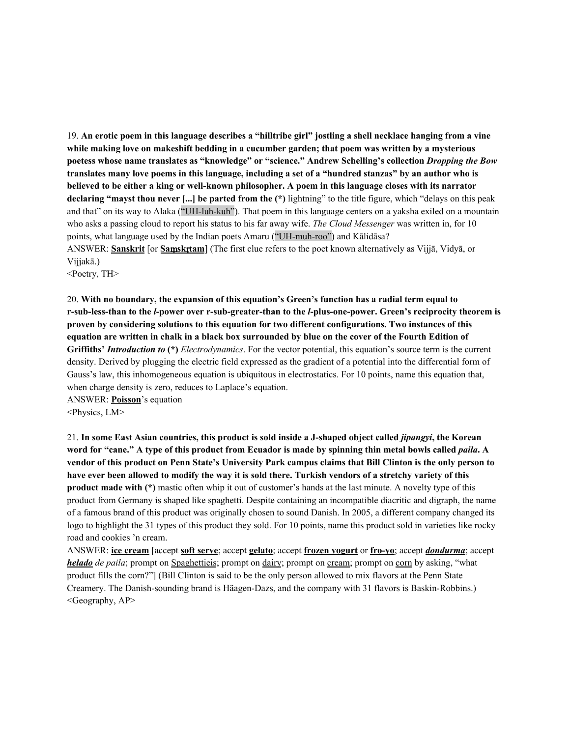19. An erotic poem in this language describes a "hilltribe girl" jostling a shell necklace hanging from a vine **while making love on makeshift bedding in a cucumber garden; that poem was written by a mysterious poetess whose name translates as "knowledge" or "science." Andrew Schelling's collection** *Dropping the Bow* translates many love poems in this language, including a set of a "hundred stanzas" by an author who is believed to be either a king or well-known philosopher. A poem in this language closes with its narrator **declaring "mayst thou never [...] be parted from the (\*)** lightning" to the title figure, which "delays on this peak and that" on its way to Alaka ("UH-luh-kuh"). That poem in this language centers on a yaksha exiled on a mountain who asks a passing cloud to report his status to his far away wife. *The Cloud Messenger* was written in, for 10 points, what language used by the Indian poets Amaru ("UH-muh-roo") and Kālidāsa? ANSWER: **Sanskrit** [or **Sa**ṃ**sk**ṛ**tam**] (The first clue refers to the poet known alternatively as Vijjā, Vidyā, or Vijjakā.)

<Poetry, TH>

20. **With no boundary, the expansion of this equation's Green's function has a radial term equal to r-sub-less-than to the** *l***-power over r-sub-greater-than to the** *l***-plus-one-power. Green's reciprocity theorem is proven by considering solutions to this equation for two different configurations. Two instances of this** equation are written in chalk in a black box surrounded by blue on the cover of the Fourth Edition of **Griffiths'** *Introduction to* **(\*)** *Electrodynamics*. For the vector potential, this equation's source term is the current density. Derived by plugging the electric field expressed as the gradient of a potential into the differential form of Gauss's law, this inhomogeneous equation is ubiquitous in electrostatics. For 10 points, name this equation that, when charge density is zero, reduces to Laplace's equation.

ANSWER: **Poisson**'s equation

<Physics, LM>

21. In some East Asian countries, this product is sold inside a J-shaped object called *jipangyi*, the Korean word for "cane." A type of this product from Ecuador is made by spinning thin metal bowls called *paila*. A vendor of this product on Penn State's University Park campus claims that Bill Clinton is the only person to have ever been allowed to modify the way it is sold there. Turkish vendors of a stretchy variety of this **product made with (\*)** mastic often whip it out of customer's hands at the last minute. A novelty type of this product from Germany is shaped like spaghetti. Despite containing an incompatible diacritic and digraph, the name of a famous brand of this product was originally chosen to sound Danish. In 2005, a different company changed its logo to highlight the 31 types of this product they sold. For 10 points, name this product sold in varieties like rocky road and cookies 'n cream.

ANSWER: **ice cream** [accept **soft serve**; accept **gelato**; accept **frozen yogurt** or **fro-yo**; accept *dondurma*; accept *helado de paila*; prompt on Spaghettieis; prompt on dairy; prompt on cream; prompt on corn by asking, "what product fills the corn?"] (Bill Clinton is said to be the only person allowed to mix flavors at the Penn State Creamery. The Danish-sounding brand is Häagen-Dazs, and the company with 31 flavors is Baskin-Robbins.) <Geography, AP>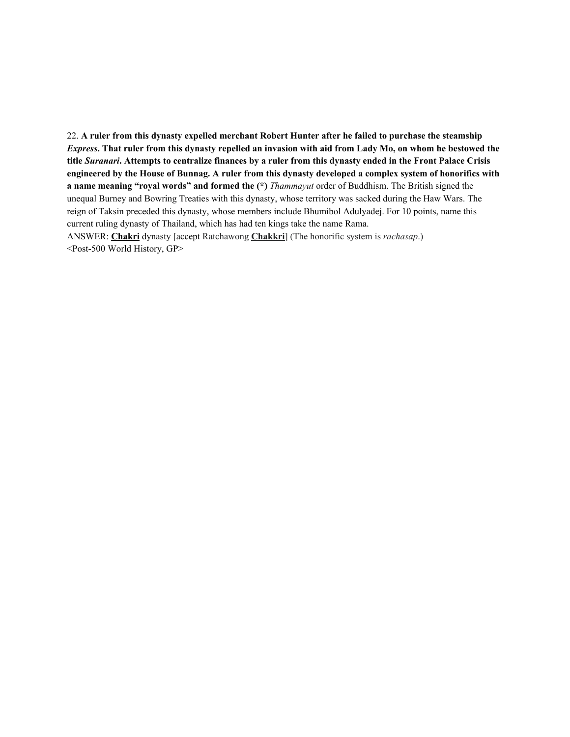22. **A ruler from this dynasty expelled merchant Robert Hunter after he failed to purchase the steamship** Express. That ruler from this dynasty repelled an invasion with aid from Lady Mo, on whom he bestowed the title Suranari. Attempts to centralize finances by a ruler from this dynasty ended in the Front Palace Crisis engineered by the House of Bunnag. A ruler from this dynasty developed a complex system of honorifics with **a name meaning "royal words" and formed the (\*)** *Thammayut* order of Buddhism. The British signed the unequal Burney and Bowring Treaties with this dynasty, whose territory was sacked during the Haw Wars. The reign of Taksin preceded this dynasty, whose members include Bhumibol Adulyadej. For 10 points, name this current ruling dynasty of Thailand, which has had ten kings take the name Rama. ANSWER: **Chakri** dynasty [accept Ratchawong **Chakkri**] (The honorific system is *rachasap*.)

<Post-500 World History, GP>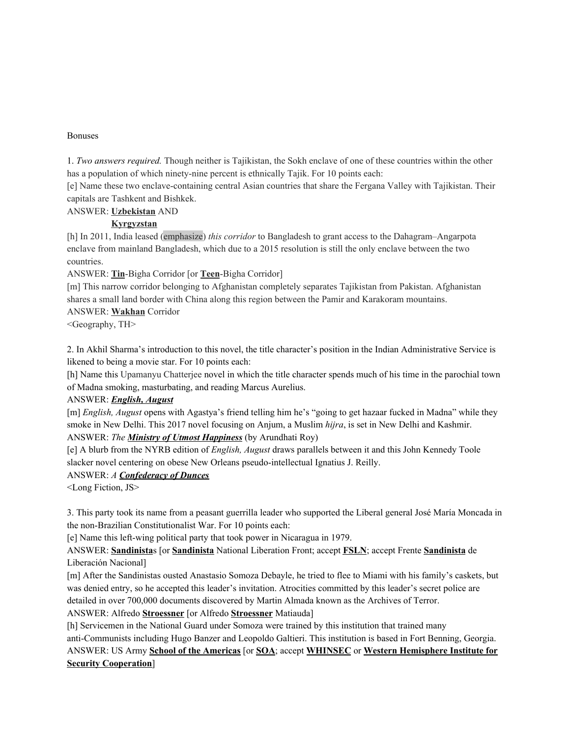#### Bonuses

1. *Two answers required.* Though neither is Tajikistan, the Sokh enclave of one of these countries within the other has a population of which ninety-nine percent is ethnically Tajik. For 10 points each:

[e] Name these two enclave-containing central Asian countries that share the Fergana Valley with Tajikistan. Their capitals are Tashkent and Bishkek.

ANSWER: **Uzbekistan** AND

#### **Kyrgyzstan**

[h] In 2011, India leased (emphasize) *this corridor* to Bangladesh to grant access to the Dahagram–Angarpota enclave from mainland Bangladesh, which due to a 2015 resolution is still the only enclave between the two countries.

ANSWER: **Tin**-Bigha Corridor [or **Teen**-Bigha Corridor]

[m] This narrow corridor belonging to Afghanistan completely separates Tajikistan from Pakistan. Afghanistan shares a small land border with China along this region between the Pamir and Karakoram mountains.

ANSWER: **Wakhan** Corridor

<Geography, TH>

2. In Akhil Sharma's introduction to this novel, the title character's position in the Indian Administrative Service is likened to being a movie star. For 10 points each:

[h] Name this Upamanyu Chatterjee novel in which the title character spends much of his time in the parochial town of Madna smoking, masturbating, and reading Marcus Aurelius.

#### ANSWER: *English, August*

[m] *English, August* opens with Agastya's friend telling him he's "going to get hazaar fucked in Madna" while they smoke in New Delhi. This 2017 novel focusing on Anjum, a Muslim *hijra*, is set in New Delhi and Kashmir.

## ANSWER: *The Ministry of Utmost Happiness* (by Arundhati Roy)

[e] A blurb from the NYRB edition of *English, August* draws parallels between it and this John Kennedy Toole slacker novel centering on obese New Orleans pseudo-intellectual Ignatius J. Reilly.

## ANSWER: *A Confederacy of Dunces*

<Long Fiction, JS>

3. This party took its name from a peasant guerrilla leader who supported the Liberal general José María Moncada in the non-Brazilian Constitutionalist War. For 10 points each:

[e] Name this left-wing political party that took power in Nicaragua in 1979.

ANSWER: **Sandinista**s [or **Sandinista** National Liberation Front; accept **FSLN**; accept Frente **Sandinista** de Liberación Nacional]

[m] After the Sandinistas ousted Anastasio Somoza Debayle, he tried to flee to Miami with his family's caskets, but was denied entry, so he accepted this leader's invitation. Atrocities committed by this leader's secret police are detailed in over 700,000 documents discovered by Martin Almada known as the Archives of Terror.

ANSWER: Alfredo **Stroessner** [or Alfredo **Stroessner** Matiauda]

[h] Servicemen in the National Guard under Somoza were trained by this institution that trained many anti-Communists including Hugo Banzer and Leopoldo Galtieri. This institution is based in Fort Benning, Georgia. ANSWER: US Army **School of the Americas** [or **SOA**; accept **WHINSEC** or **Western Hemisphere Institute for Security Cooperation**]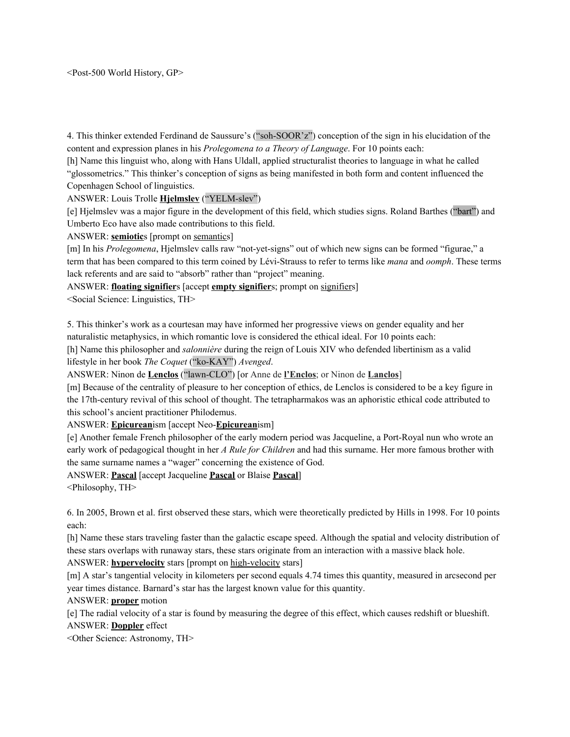<Post-500 World History, GP>

4. This thinker extended Ferdinand de Saussure's ("soh-SOOR'z") conception of the sign in his elucidation of the content and expression planes in his *Prolegomena to a Theory of Language*. For 10 points each:

[h] Name this linguist who, along with Hans Uldall, applied structuralist theories to language in what he called "glossometrics." This thinker's conception of signs as being manifested in both form and content influenced the Copenhagen School of linguistics.

ANSWER: Louis Trolle **Hjelmslev** ("YELM-slev")

[e] Hjelmslev was a major figure in the development of this field, which studies signs. Roland Barthes ("bart") and Umberto Eco have also made contributions to this field.

ANSWER: **semiotic**s [prompt on semantics]

[m] In his *Prolegomena*, Hjelmslev calls raw "not-yet-signs" out of which new signs can be formed "figurae," a term that has been compared to this term coined by Lévi-Strauss to refer to terms like *mana* and *oomph*. These terms lack referents and are said to "absorb" rather than "project" meaning.

ANSWER: **floating signifier**s [accept **empty signifier**s; prompt on signifiers]

<Social Science: Linguistics, TH>

5. This thinker's work as a courtesan may have informed her progressive views on gender equality and her naturalistic metaphysics, in which romantic love is considered the ethical ideal. For 10 points each:

[h] Name this philosopher and *salonnière* during the reign of Louis XIV who defended libertinism as a valid lifestyle in her book *The Coquet* ("ko-KAY") *Avenged*.

ANSWER: Ninon de **Lenclos** ("lawn-CLO") [or Anne de **l'Enclos**; or Ninon de **Lanclos**]

[m] Because of the centrality of pleasure to her conception of ethics, de Lenclos is considered to be a key figure in the 17th-century revival of this school of thought. The tetrapharmakos was an aphoristic ethical code attributed to this school's ancient practitioner Philodemus.

ANSWER: **Epicurean**ism [accept Neo-**Epicurean**ism]

[e] Another female French philosopher of the early modern period was Jacqueline, a Port-Royal nun who wrote an early work of pedagogical thought in her *A Rule for Children* and had this surname. Her more famous brother with the same surname names a "wager" concerning the existence of God.

ANSWER: **Pascal** [accept Jacqueline **Pascal** or Blaise **Pascal**]

<Philosophy, TH>

6. In 2005, Brown et al. first observed these stars, which were theoretically predicted by Hills in 1998. For 10 points each:

[h] Name these stars traveling faster than the galactic escape speed. Although the spatial and velocity distribution of these stars overlaps with runaway stars, these stars originate from an interaction with a massive black hole.

ANSWER: **hypervelocity** stars [prompt on high-velocity stars]

[m] A star's tangential velocity in kilometers per second equals 4.74 times this quantity, measured in arcsecond per year times distance. Barnard's star has the largest known value for this quantity.

ANSWER: **proper** motion

[e] The radial velocity of a star is found by measuring the degree of this effect, which causes redshift or blueshift. ANSWER: **Doppler** effect

<Other Science: Astronomy, TH>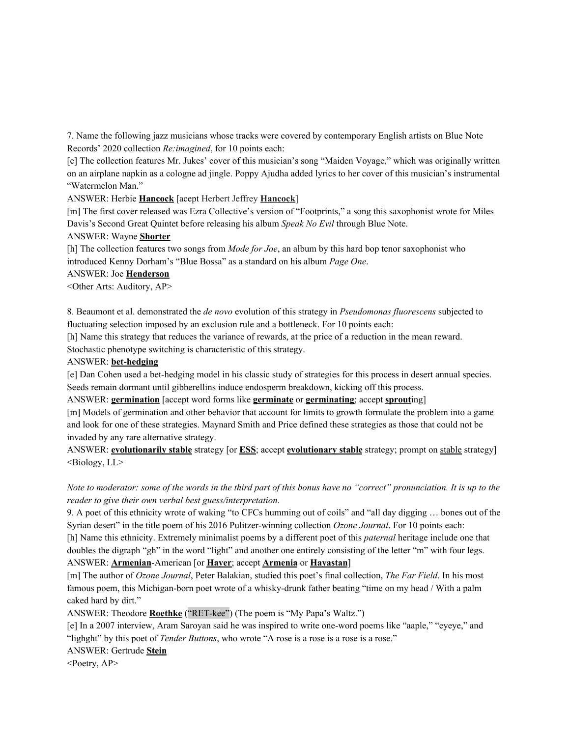7. Name the following jazz musicians whose tracks were covered by contemporary English artists on Blue Note Records' 2020 collection *Re:imagined*, for 10 points each:

[e] The collection features Mr. Jukes' cover of this musician's song "Maiden Voyage," which was originally written on an airplane napkin as a cologne ad jingle. Poppy Ajudha added lyrics to her cover of this musician's instrumental "Watermelon Man."

ANSWER: Herbie **Hancock** [acept Herbert Jeffrey **Hancock**]

[m] The first cover released was Ezra Collective's version of "Footprints," a song this saxophonist wrote for Miles Davis's Second Great Quintet before releasing his album *Speak No Evil* through Blue Note.

#### ANSWER: Wayne **Shorter**

[h] The collection features two songs from *Mode for Joe*, an album by this hard bop tenor saxophonist who introduced Kenny Dorham's "Blue Bossa" as a standard on his album *Page One*.

#### ANSWER: Joe **Henderson**

<Other Arts: Auditory, AP>

8. Beaumont et al. demonstrated the *de novo* evolution of this strategy in *Pseudomonas fluorescens* subjected to fluctuating selection imposed by an exclusion rule and a bottleneck. For 10 points each:

[h] Name this strategy that reduces the variance of rewards, at the price of a reduction in the mean reward.

Stochastic phenotype switching is characteristic of this strategy.

#### ANSWER: **bet-hedging**

[e] Dan Cohen used a bet-hedging model in his classic study of strategies for this process in desert annual species. Seeds remain dormant until gibberellins induce endosperm breakdown, kicking off this process.

ANSWER: **germination** [accept word forms like **germinate** or **germinating**; accept **sprout**ing]

[m] Models of germination and other behavior that account for limits to growth formulate the problem into a game and look for one of these strategies. Maynard Smith and Price defined these strategies as those that could not be invaded by any rare alternative strategy.

ANSWER: **evolutionarily stable** strategy [or **ESS**; accept **evolutionary stable** strategy; prompt on stable strategy]  $\leq$ Biology, LL $>$ 

## Note to moderator: some of the words in the third part of this bonus have no "correct" pronunciation. It is up to the *reader to give their own verbal best guess/interpretation*.

9. A poet of this ethnicity wrote of waking "to CFCs humming out of coils" and "all day digging … bones out of the Syrian desert" in the title poem of his 2016 Pulitzer-winning collection *Ozone Journal*. For 10 points each:

[h] Name this ethnicity. Extremely minimalist poems by a different poet of this *paternal* heritage include one that doubles the digraph "gh" in the word "light" and another one entirely consisting of the letter "m" with four legs. ANSWER: **Armenian**-American [or **Hayer**; accept **Armenia** or **Hayastan**]

[m] The author of *Ozone Journal*, Peter Balakian, studied this poet's final collection, *The Far Field*. In his most famous poem, this Michigan-born poet wrote of a whisky-drunk father beating "time on my head / With a palm caked hard by dirt."

ANSWER: Theodore **Roethke** ("RET-kee") (The poem is "My Papa's Waltz.")

[e] In a 2007 interview, Aram Saroyan said he was inspired to write one-word poems like "aaple," "eyeye," and "lighght" by this poet of *Tender Buttons*, who wrote "A rose is a rose is a rose is a rose."

ANSWER: Gertrude **Stein**

 $\leq$ Poetry, AP $>$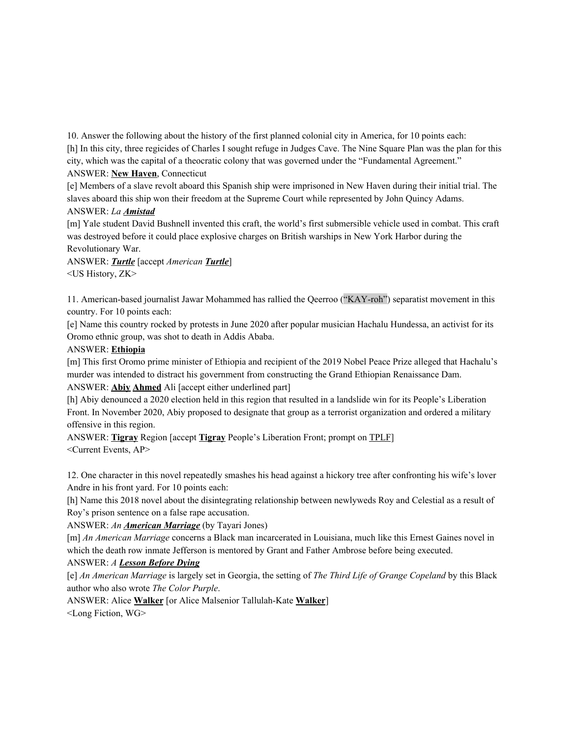10. Answer the following about the history of the first planned colonial city in America, for 10 points each:

[h] In this city, three regicides of Charles I sought refuge in Judges Cave. The Nine Square Plan was the plan for this city, which was the capital of a theocratic colony that was governed under the "Fundamental Agreement." ANSWER: **New Haven**, Connecticut

[e] Members of a slave revolt aboard this Spanish ship were imprisoned in New Haven during their initial trial. The slaves aboard this ship won their freedom at the Supreme Court while represented by John Quincy Adams. ANSWER: *La Amistad*

[m] Yale student David Bushnell invented this craft, the world's first submersible vehicle used in combat. This craft was destroyed before it could place explosive charges on British warships in New York Harbor during the Revolutionary War.

ANSWER: *Turtle* [accept *American Turtle*] <US History, ZK>

11. American-based journalist Jawar Mohammed has rallied the Qeerroo ("KAY-roh") separatist movement in this country. For 10 points each:

[e] Name this country rocked by protests in June 2020 after popular musician Hachalu Hundessa, an activist for its Oromo ethnic group, was shot to death in Addis Ababa.

# ANSWER: **Ethiopia**

[m] This first Oromo prime minister of Ethiopia and recipient of the 2019 Nobel Peace Prize alleged that Hachalu's murder was intended to distract his government from constructing the Grand Ethiopian Renaissance Dam.

ANSWER: **Abiy Ahmed** Ali [accept either underlined part]

[h] Abiy denounced a 2020 election held in this region that resulted in a landslide win for its People's Liberation Front. In November 2020, Abiy proposed to designate that group as a terrorist organization and ordered a military offensive in this region.

ANSWER: **Tigray** Region [accept **Tigray** People's Liberation Front; prompt on TPLF] <Current Events, AP>

12. One character in this novel repeatedly smashes his head against a hickory tree after confronting his wife's lover Andre in his front yard. For 10 points each:

[h] Name this 2018 novel about the disintegrating relationship between newlyweds Roy and Celestial as a result of Roy's prison sentence on a false rape accusation.

ANSWER: *An American Marriage* (by Tayari Jones)

[m] *An American Marriage* concerns a Black man incarcerated in Louisiana, much like this Ernest Gaines novel in which the death row inmate Jefferson is mentored by Grant and Father Ambrose before being executed.

ANSWER: *A Lesson Before Dying*

[e] *An American Marriage* is largely set in Georgia, the setting of *The Third Life of Grange Copeland* by this Black author who also wrote *The Color Purple*.

ANSWER: Alice **Walker** [or Alice Malsenior Tallulah-Kate **Walker**] <Long Fiction, WG>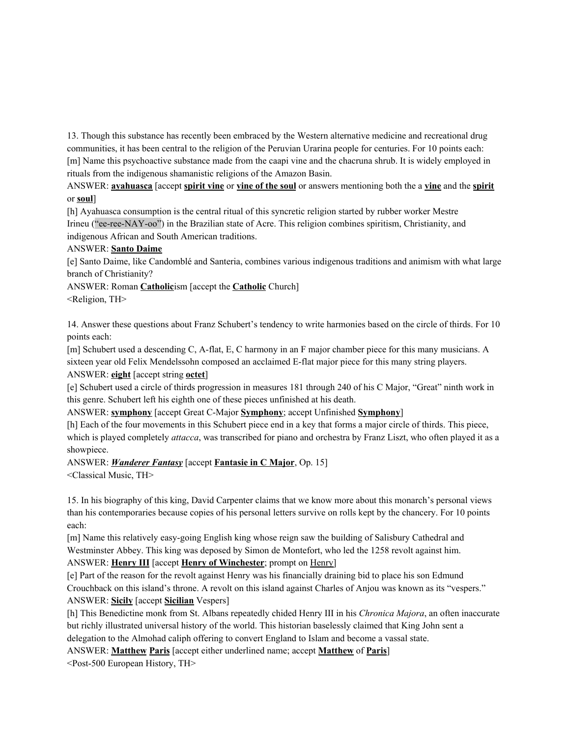13. Though this substance has recently been embraced by the Western alternative medicine and recreational drug communities, it has been central to the religion of the Peruvian Urarina people for centuries. For 10 points each: [m] Name this psychoactive substance made from the caapi vine and the chacruna shrub. It is widely employed in rituals from the indigenous shamanistic religions of the Amazon Basin.

ANSWER: **ayahuasca** [accept **spirit vine** or **vine of the soul** or answers mentioning both the a **vine** and the **spirit** or **soul**]

[h] Ayahuasca consumption is the central ritual of this syncretic religion started by rubber worker Mestre Irineu ("ee-ree-NAY-oo") in the Brazilian state of Acre. This religion combines spiritism, Christianity, and indigenous African and South American traditions.

#### ANSWER: **Santo Daime**

[e] Santo Daime, like Candomblé and Santeria, combines various indigenous traditions and animism with what large branch of Christianity?

ANSWER: Roman **Catholic**ism [accept the **Catholic** Church]

<Religion, TH>

14. Answer these questions about Franz Schubert's tendency to write harmonies based on the circle of thirds. For 10 points each:

[m] Schubert used a descending C, A-flat, E, C harmony in an F major chamber piece for this many musicians. A sixteen year old Felix Mendelssohn composed an acclaimed E-flat major piece for this many string players. ANSWER: **eight** [accept string **octet**]

[e] Schubert used a circle of thirds progression in measures 181 through 240 of his C Major, "Great" ninth work in this genre. Schubert left his eighth one of these pieces unfinished at his death.

ANSWER: **symphony** [accept Great C-Major **Symphony**; accept Unfinished **Symphony**]

[h] Each of the four movements in this Schubert piece end in a key that forms a major circle of thirds. This piece, which is played completely *attacca*, was transcribed for piano and orchestra by Franz Liszt, who often played it as a showpiece.

## ANSWER: *Wanderer Fantasy* [accept **Fantasie in C Major**, Op. 15]

<Classical Music, TH>

15. In his biography of this king, David Carpenter claims that we know more about this monarch's personal views than his contemporaries because copies of his personal letters survive on rolls kept by the chancery. For 10 points each:

[m] Name this relatively easy-going English king whose reign saw the building of Salisbury Cathedral and Westminster Abbey. This king was deposed by Simon de Montefort, who led the 1258 revolt against him. ANSWER: **Henry III** [accept **Henry of Winchester**; prompt on Henry]

[e] Part of the reason for the revolt against Henry was his financially draining bid to place his son Edmund Crouchback on this island's throne. A revolt on this island against Charles of Anjou was known as its "vespers." ANSWER: **Sicily** [accept **Sicilian** Vespers]

[h] This Benedictine monk from St. Albans repeatedly chided Henry III in his *Chronica Majora*, an often inaccurate but richly illustrated universal history of the world. This historian baselessly claimed that King John sent a delegation to the Almohad caliph offering to convert England to Islam and become a vassal state.

ANSWER: **Matthew Paris** [accept either underlined name; accept **Matthew** of **Paris**]

<Post-500 European History, TH>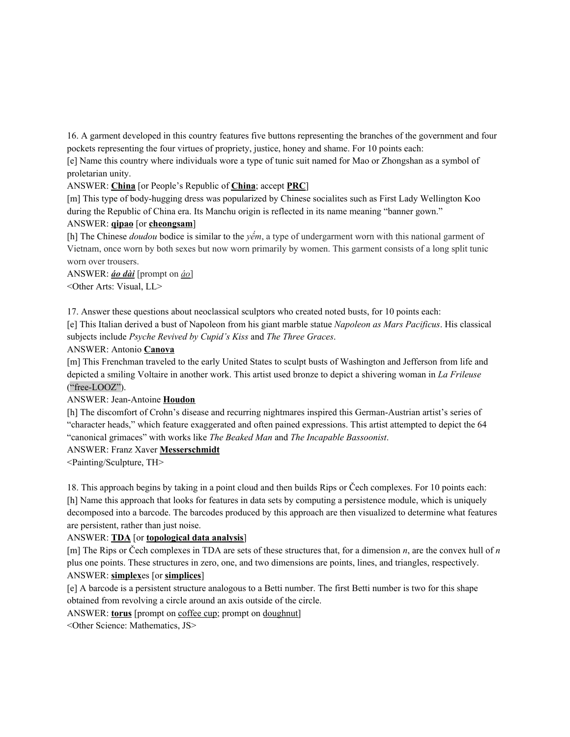16. A garment developed in this country features five buttons representing the branches of the government and four pockets representing the four virtues of propriety, justice, honey and shame. For 10 points each:

[e] Name this country where individuals wore a type of tunic suit named for Mao or Zhongshan as a symbol of proletarian unity.

ANSWER: **China** [or People's Republic of **China**; accept **PRC**]

[m] This type of body-hugging dress was popularized by Chinese socialites such as First Lady Wellington Koo during the Republic of China era. Its Manchu origin is reflected in its name meaning "banner gown."

#### ANSWER: **qipao** [or **cheongsam**]

[h] The Chinese *doudou* bodice is similar to the *yếm*, a type of undergarment worn with this national garment of Vietnam, once worn by both sexes but now worn primarily by women. This garment consists of a long split tunic worn over trousers.

ANSWER: *áo dài* [prompt on *áo*] <Other Arts: Visual, LL>

17. Answer these questions about neoclassical sculptors who created noted busts, for 10 points each:

[e] This Italian derived a bust of Napoleon from his giant marble statue *Napoleon as Mars Pacificus*. His classical subjects include *Psyche Revived by Cupid's Kiss* and *The Three Graces*.

#### ANSWER: Antonio **Canova**

[m] This Frenchman traveled to the early United States to sculpt busts of Washington and Jefferson from life and depicted a smiling Voltaire in another work. This artist used bronze to depict a shivering woman in *La Frileuse* ("free-LOOZ").

## ANSWER: Jean-Antoine **Houdon**

[h] The discomfort of Crohn's disease and recurring nightmares inspired this German-Austrian artist's series of "character heads," which feature exaggerated and often pained expressions. This artist attempted to depict the 64 "canonical grimaces" with works like *The Beaked Man* and *The Incapable Bassoonist*.

## ANSWER: Franz Xaver **Messerschmidt**

<Painting/Sculpture, TH>

18. This approach begins by taking in a point cloud and then builds Rips or Čech complexes. For 10 points each: [h] Name this approach that looks for features in data sets by computing a persistence module, which is uniquely decomposed into a barcode. The barcodes produced by this approach are then visualized to determine what features are persistent, rather than just noise.

## ANSWER: **TDA** [or **topological data analysis**]

[m] The Rips or Čech complexes in TDA are sets of these structures that, for a dimension *n*, are the convex hull of *n* plus one points. These structures in zero, one, and two dimensions are points, lines, and triangles, respectively. ANSWER: **simplex**es [or **simplices**]

[e] A barcode is a persistent structure analogous to a Betti number. The first Betti number is two for this shape obtained from revolving a circle around an axis outside of the circle.

ANSWER: **torus** [prompt on coffee cup; prompt on doughnut]

<Other Science: Mathematics, JS>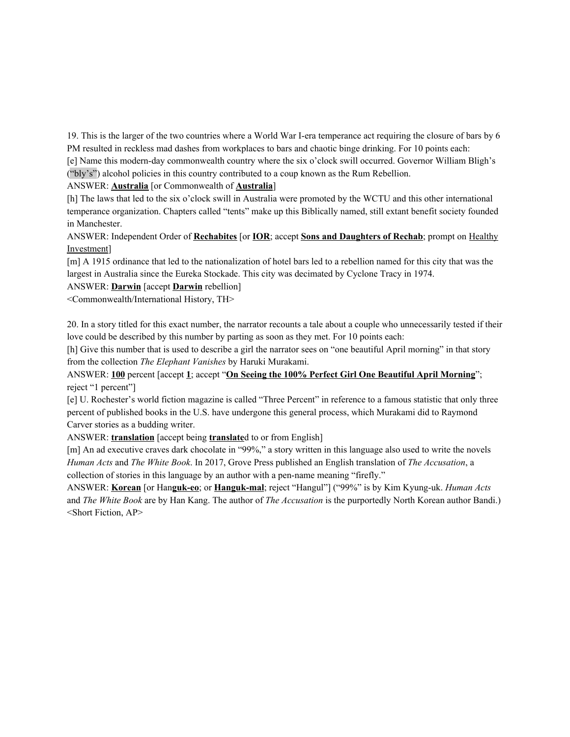19. This is the larger of the two countries where a World War I-era temperance act requiring the closure of bars by 6 PM resulted in reckless mad dashes from workplaces to bars and chaotic binge drinking. For 10 points each:

[e] Name this modern-day commonwealth country where the six o'clock swill occurred. Governor William Bligh's ("bly's") alcohol policies in this country contributed to a coup known as the Rum Rebellion.

ANSWER: **Australia** [or Commonwealth of **Australia**]

[h] The laws that led to the six o'clock swill in Australia were promoted by the WCTU and this other international temperance organization. Chapters called "tents" make up this Biblically named, still extant benefit society founded in Manchester.

ANSWER: Independent Order of **Rechabites** [or **IOR**; accept **Sons and Daughters of Rechab**; prompt on Healthy Investment]

[m] A 1915 ordinance that led to the nationalization of hotel bars led to a rebellion named for this city that was the largest in Australia since the Eureka Stockade. This city was decimated by Cyclone Tracy in 1974.

ANSWER: **Darwin** [accept **Darwin** rebellion]

<Commonwealth/International History, TH>

20. In a story titled for this exact number, the narrator recounts a tale about a couple who unnecessarily tested if their love could be described by this number by parting as soon as they met. For 10 points each:

[h] Give this number that is used to describe a girl the narrator sees on "one beautiful April morning" in that story from the collection *The Elephant Vanishes* by Haruki Murakami.

ANSWER: **100** percent [accept **1**; accept "**On Seeing the 100% Perfect Girl One Beautiful April Morning**"; reject "1 percent"]

[e] U. Rochester's world fiction magazine is called "Three Percent" in reference to a famous statistic that only three percent of published books in the U.S. have undergone this general process, which Murakami did to Raymond Carver stories as a budding writer.

ANSWER: **translation** [accept being **translate**d to or from English]

[m] An ad executive craves dark chocolate in "99%," a story written in this language also used to write the novels *Human Acts* and *The White Book*. In 2017, Grove Press published an English translation of *The Accusation*, a collection of stories in this language by an author with a pen-name meaning "firefly."

ANSWER: **Korean** [or Han**guk-eo**; or **Hanguk-mal**; reject "Hangul"] ("99%" is by Kim Kyung-uk. *Human Acts* and *The White Book* are by Han Kang. The author of *The Accusation* is the purportedly North Korean author Bandi.) <Short Fiction, AP>